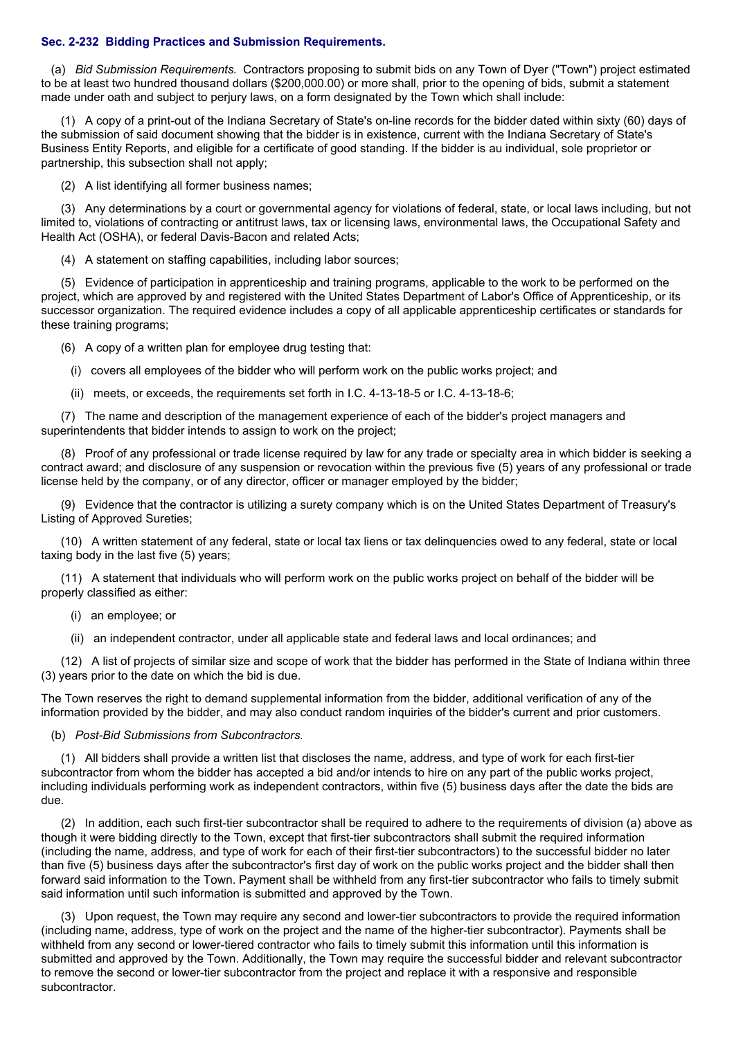## **Sec. 2-232 Bidding Practices and Submission Requirements.**

(a) *Bid Submission Requirements.* Contractors proposing to submit bids on any Town of Dyer ("Town") project estimated to be at least two hundred thousand dollars (\$200,000.00) or more shall, prior to the opening of bids, submit a statement made under oath and subject to perjury laws, on a form designated by the Town which shall include:

(1) A copy of a print-out of the Indiana Secretary of State's on-line records for the bidder dated within sixty (60) days of the submission of said document showing that the bidder is in existence, current with the Indiana Secretary of State's Business Entity Reports, and eligible for a certificate of good standing. If the bidder is au individual, sole proprietor or partnership, this subsection shall not apply;

(2) A list identifying all former business names;

(3) Any determinations by a court or governmental agency for violations of federal, state, or local laws including, but not limited to, violations of contracting or antitrust laws, tax or licensing laws, environmental laws, the Occupational Safety and Health Act (OSHA), or federal Davis-Bacon and related Acts;

(4) A statement on staffing capabilities, including labor sources;

(5) Evidence of participation in apprenticeship and training programs, applicable to the work to be performed on the project, which are approved by and registered with the United States Department of Labor's Office of Apprenticeship, or its successor organization. The required evidence includes a copy of all applicable apprenticeship certificates or standards for these training programs;

(6) A copy of a written plan for employee drug testing that:

- (i) covers all employees of the bidder who will perform work on the public works project; and
- (ii) meets, or exceeds, the requirements set forth in I.C. 4-13-18-5 or I.C. 4-13-18-6;

(7) The name and description of the management experience of each of the bidder's project managers and superintendents that bidder intends to assign to work on the project:

(8) Proof of any professional or trade license required by law for any trade or specialty area in which bidder is seeking a contract award; and disclosure of any suspension or revocation within the previous five (5) years of any professional or trade license held by the company, or of any director, officer or manager employed by the bidder;

(9) Evidence that the contractor is utilizing a surety company which is on the United States Department of Treasury's Listing of Approved Sureties;

(10) A written statement of any federal, state or local tax liens or tax delinquencies owed to any federal, state or local taxing body in the last five (5) years;

(11) A statement that individuals who will perform work on the public works project on behalf of the bidder will be properly classified as either:

- (i) an employee; or
- (ii) an independent contractor, under all applicable state and federal laws and local ordinances; and

(12) A list of projects of similar size and scope of work that the bidder has performed in the State of Indiana within three (3) years prior to the date on which the bid is due.

The Town reserves the right to demand supplemental information from the bidder, additional verification of any of the information provided by the bidder, and may also conduct random inquiries of the bidder's current and prior customers.

(b) *Post-Bid Submissions from Subcontractors.*

(1) All bidders shall provide a written list that discloses the name, address, and type of work for each first-tier subcontractor from whom the bidder has accepted a bid and/or intends to hire on any part of the public works project, including individuals performing work as independent contractors, within five (5) business days after the date the bids are due.

(2) In addition, each such first-tier subcontractor shall be required to adhere to the requirements of division (a) above as though it were bidding directly to the Town, except that first-tier subcontractors shall submit the required information (including the name, address, and type of work for each of their first-tier subcontractors) to the successful bidder no later than five (5) business days after the subcontractor's first day of work on the public works project and the bidder shall then forward said information to the Town. Payment shall be withheld from any first-tier subcontractor who fails to timely submit said information until such information is submitted and approved by the Town.

(3) Upon request, the Town may require any second and lower-tier subcontractors to provide the required information (including name, address, type of work on the project and the name of the higher-tier subcontractor). Payments shall be withheld from any second or lower-tiered contractor who fails to timely submit this information until this information is submitted and approved by the Town. Additionally, the Town may require the successful bidder and relevant subcontractor to remove the second or lower-tier subcontractor from the project and replace it with a responsive and responsible subcontractor.